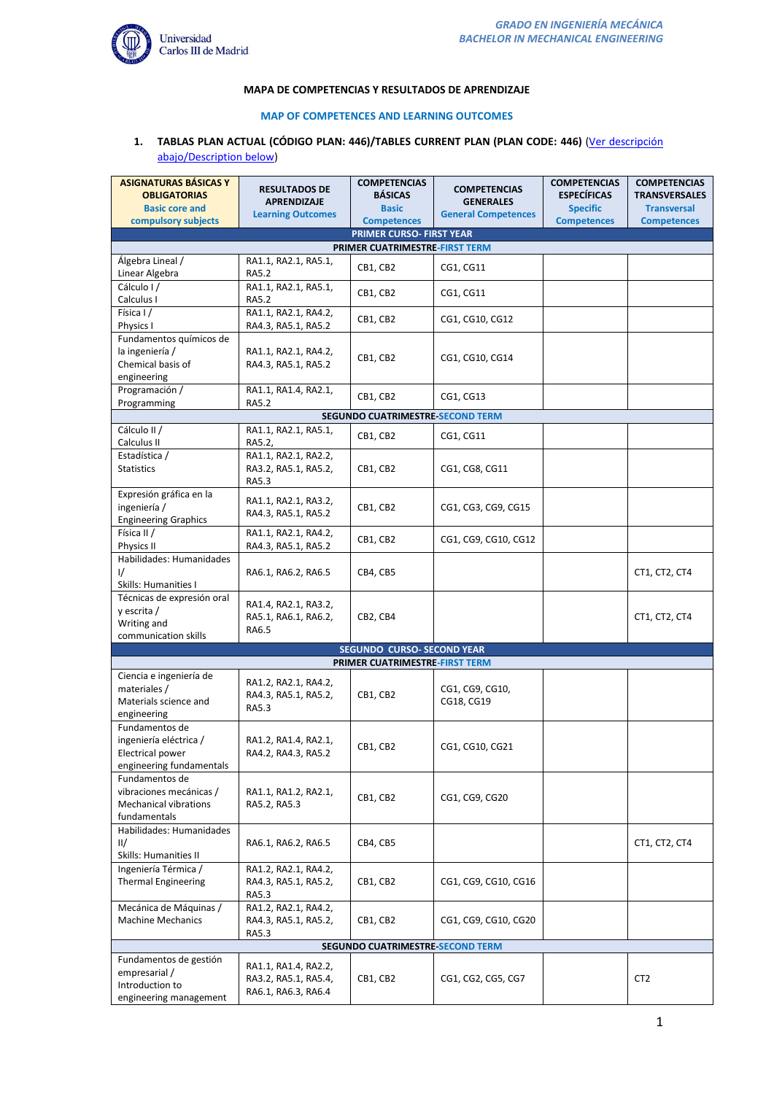

#### **MAPA DE COMPETENCIAS Y RESULTADOS DE APRENDIZAJE**

#### **MAP OF COMPETENCES AND LEARNING OUTCOMES**

## **1. TABLAS PLAN ACTUAL (CÓDIGO PLAN: 446)/TABLES CURRENT PLAN (PLAN CODE: 446)** [\(Ver descripción](#page-8-0)  [abajo/Description below\)](#page-8-0)

| <b>ASIGNATURAS BÁSICAS Y</b>                 | <b>RESULTADOS DE</b>                        | <b>COMPETENCIAS</b>                            | <b>COMPETENCIAS</b>        | <b>COMPETENCIAS</b> | <b>COMPETENCIAS</b>  |  |
|----------------------------------------------|---------------------------------------------|------------------------------------------------|----------------------------|---------------------|----------------------|--|
| <b>OBLIGATORIAS</b>                          | <b>APRENDIZAJE</b>                          | <b>BÁSICAS</b>                                 | <b>GENERALES</b>           | <b>ESPECÍFICAS</b>  | <b>TRANSVERSALES</b> |  |
| <b>Basic core and</b><br>compulsory subjects | <b>Learning Outcomes</b>                    | <b>Basic</b>                                   | <b>General Competences</b> | <b>Specific</b>     | <b>Transversal</b>   |  |
|                                              |                                             | <b>Competences</b><br>PRIMER CURSO- FIRST YEAR |                            | <b>Competences</b>  | <b>Competences</b>   |  |
|                                              |                                             | PRIMER CUATRIMESTRE-FIRST TERM                 |                            |                     |                      |  |
| Álgebra Lineal /                             | RA1.1, RA2.1, RA5.1,                        |                                                |                            |                     |                      |  |
| Linear Algebra                               | <b>RA5.2</b>                                | CB1, CB2                                       | CG1, CG11                  |                     |                      |  |
| Cálculo I/                                   | RA1.1, RA2.1, RA5.1,                        | CB1, CB2                                       | CG1, CG11                  |                     |                      |  |
| Calculus I                                   | RA5.2                                       |                                                |                            |                     |                      |  |
| Física I /                                   | RA1.1, RA2.1, RA4.2,                        | CB1, CB2                                       | CG1, CG10, CG12            |                     |                      |  |
| Physics I                                    | RA4.3, RA5.1, RA5.2                         |                                                |                            |                     |                      |  |
| Fundamentos químicos de                      |                                             |                                                |                            |                     |                      |  |
| la ingeniería /                              | RA1.1, RA2.1, RA4.2,                        | CB1, CB2                                       | CG1, CG10, CG14            |                     |                      |  |
| Chemical basis of                            | RA4.3, RA5.1, RA5.2                         |                                                |                            |                     |                      |  |
| engineering<br>Programación /                | RA1.1, RA1.4, RA2.1,                        |                                                |                            |                     |                      |  |
| Programming                                  | <b>RA5.2</b>                                | CB1, CB2                                       | CG1, CG13                  |                     |                      |  |
|                                              |                                             | SEGUNDO CUATRIMESTRE SECOND TERM               |                            |                     |                      |  |
| Cálculo II /                                 | RA1.1, RA2.1, RA5.1,                        | CB1, CB2                                       |                            |                     |                      |  |
| Calculus II                                  | RA5.2,                                      |                                                | CG1, CG11                  |                     |                      |  |
| Estadística /                                | RA1.1, RA2.1, RA2.2,                        |                                                |                            |                     |                      |  |
| <b>Statistics</b>                            | RA3.2, RA5.1, RA5.2,                        | CB1, CB2                                       | CG1, CG8, CG11             |                     |                      |  |
|                                              | RA5.3                                       |                                                |                            |                     |                      |  |
| Expresión gráfica en la                      | RA1.1, RA2.1, RA3.2,                        |                                                |                            |                     |                      |  |
| ingeniería /                                 | RA4.3, RA5.1, RA5.2                         | CB1, CB2                                       | CG1, CG3, CG9, CG15        |                     |                      |  |
| <b>Engineering Graphics</b><br>Física II /   |                                             |                                                |                            |                     |                      |  |
| Physics II                                   | RA1.1, RA2.1, RA4.2,<br>RA4.3, RA5.1, RA5.2 | CB1, CB2                                       | CG1, CG9, CG10, CG12       |                     |                      |  |
| Habilidades: Humanidades                     |                                             |                                                |                            |                     |                      |  |
| $\frac{1}{2}$                                | RA6.1, RA6.2, RA6.5                         | CB4, CB5                                       |                            |                     | CT1, CT2, CT4        |  |
| Skills: Humanities I                         |                                             |                                                |                            |                     |                      |  |
| Técnicas de expresión oral                   |                                             |                                                |                            |                     |                      |  |
| y escrita /                                  | RA1.4, RA2.1, RA3.2,                        |                                                |                            |                     |                      |  |
| Writing and                                  | RA5.1, RA6.1, RA6.2,<br>RA6.5               | CB2, CB4                                       |                            |                     | CT1, CT2, CT4        |  |
| communication skills                         |                                             |                                                |                            |                     |                      |  |
|                                              |                                             | <b>SEGUNDO CURSO- SECOND YEAR</b>              |                            |                     |                      |  |
| PRIMER CUATRIMESTRE-FIRST TERM               |                                             |                                                |                            |                     |                      |  |
| Ciencia e ingeniería de<br>materiales /      | RA1.2, RA2.1, RA4.2,                        |                                                | CG1, CG9, CG10,            |                     |                      |  |
| Materials science and                        | RA4.3, RA5.1, RA5.2,                        | CB1, CB2                                       | CG18, CG19                 |                     |                      |  |
| engineering                                  | <b>RA5.3</b>                                |                                                |                            |                     |                      |  |
| Fundamentos de                               |                                             |                                                |                            |                     |                      |  |
| ingeniería eléctrica /                       | RA1.2, RA1.4, RA2.1,                        |                                                |                            |                     |                      |  |
| Electrical power                             | RA4.2, RA4.3, RA5.2                         | CB1, CB2                                       | CG1, CG10, CG21            |                     |                      |  |
| engineering fundamentals                     |                                             |                                                |                            |                     |                      |  |
| Fundamentos de                               |                                             |                                                |                            |                     |                      |  |
| vibraciones mecánicas /                      | RA1.1, RA1.2, RA2.1,                        | CB1, CB2                                       | CG1, CG9, CG20             |                     |                      |  |
| Mechanical vibrations                        | RA5.2, RA5.3                                |                                                |                            |                     |                      |  |
| fundamentals<br>Habilidades: Humanidades     |                                             |                                                |                            |                     |                      |  |
| II/                                          | RA6.1, RA6.2, RA6.5                         | CB4, CB5                                       |                            |                     | CT1, CT2, CT4        |  |
| Skills: Humanities II                        |                                             |                                                |                            |                     |                      |  |
| Ingeniería Térmica /                         | RA1.2, RA2.1, RA4.2,                        |                                                |                            |                     |                      |  |
| <b>Thermal Engineering</b>                   | RA4.3, RA5.1, RA5.2,                        | CB1, CB2                                       | CG1, CG9, CG10, CG16       |                     |                      |  |
|                                              | RA5.3                                       |                                                |                            |                     |                      |  |
| Mecánica de Máquinas /                       | RA1.2, RA2.1, RA4.2,                        |                                                |                            |                     |                      |  |
| <b>Machine Mechanics</b>                     | RA4.3, RA5.1, RA5.2,                        | CB1, CB2                                       | CG1, CG9, CG10, CG20       |                     |                      |  |
|                                              | RA5.3                                       |                                                |                            |                     |                      |  |
|                                              |                                             | SEGUNDO CUATRIMESTRE SECOND TERM               |                            |                     |                      |  |
| Fundamentos de gestión                       | RA1.1, RA1.4, RA2.2,                        |                                                |                            |                     |                      |  |
| empresarial /                                | RA3.2, RA5.1, RA5.4,                        | CB1, CB2                                       | CG1, CG2, CG5, CG7         |                     | CT <sub>2</sub>      |  |
| Introduction to                              | RA6.1, RA6.3, RA6.4                         |                                                |                            |                     |                      |  |
| engineering management                       |                                             |                                                |                            |                     |                      |  |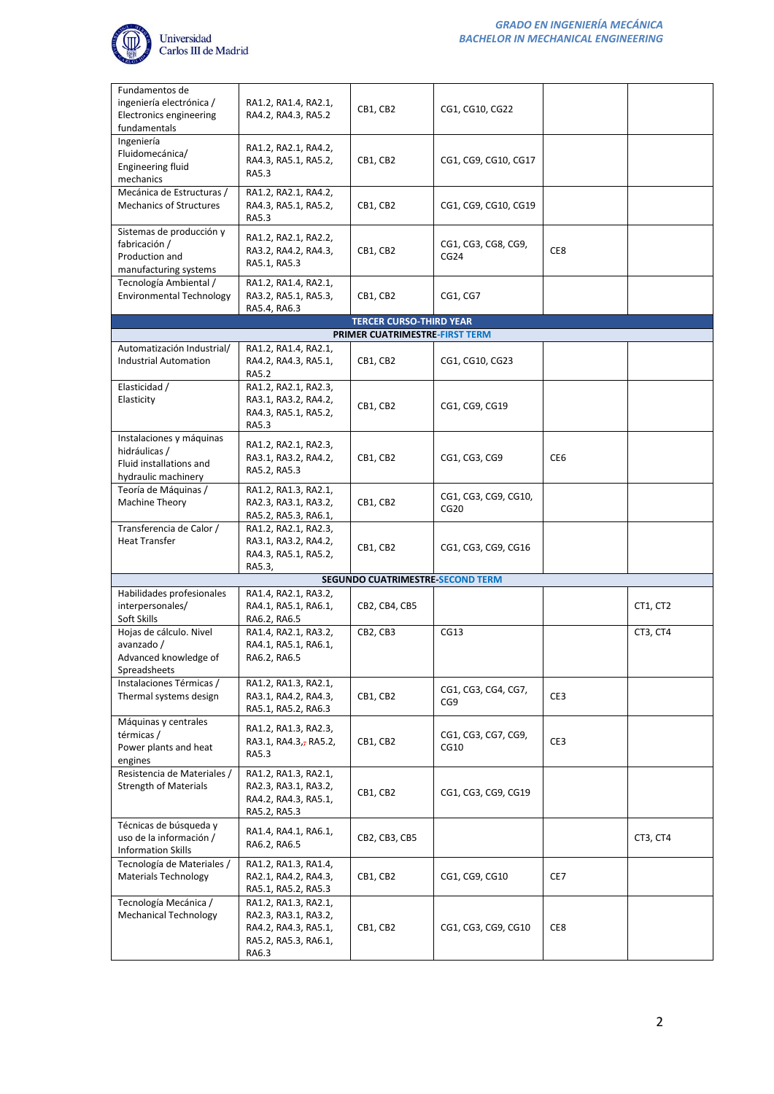

| Fundamentos de<br>ingeniería electrónica /<br>Electronics engineering<br>fundamentals       | RA1.2, RA1.4, RA2.1,<br>RA4.2, RA4.3, RA5.2                                                           | CB1, CB2                                | CG1, CG10, CG22              |                 |          |
|---------------------------------------------------------------------------------------------|-------------------------------------------------------------------------------------------------------|-----------------------------------------|------------------------------|-----------------|----------|
| Ingeniería<br>Fluidomecánica/<br><b>Engineering fluid</b><br>mechanics                      | RA1.2, RA2.1, RA4.2,<br>RA4.3, RA5.1, RA5.2,<br>RA5.3                                                 | CB1, CB2                                | CG1, CG9, CG10, CG17         |                 |          |
| Mecánica de Estructuras /<br><b>Mechanics of Structures</b>                                 | RA1.2, RA2.1, RA4.2,<br>RA4.3, RA5.1, RA5.2,<br>RA5.3                                                 | CB1, CB2                                | CG1, CG9, CG10, CG19         |                 |          |
| Sistemas de producción y<br>fabricación /<br>Production and<br>manufacturing systems        | RA1.2, RA2.1, RA2.2,<br>RA3.2, RA4.2, RA4.3,<br>RA5.1, RA5.3                                          | CB1, CB2                                | CG1, CG3, CG8, CG9,<br>CG24  | CE8             |          |
| Tecnología Ambiental /<br><b>Environmental Technology</b>                                   | RA1.2, RA1.4, RA2.1,<br>RA3.2, RA5.1, RA5.3,<br>RA5.4, RA6.3                                          | CB1, CB2                                | CG1, CG7                     |                 |          |
|                                                                                             |                                                                                                       | <b>TERCER CURSO-THIRD YEAR</b>          |                              |                 |          |
|                                                                                             |                                                                                                       | PRIMER CUATRIMESTRE-FIRST TERM          |                              |                 |          |
| Automatización Industrial/<br><b>Industrial Automation</b>                                  | RA1.2, RA1.4, RA2.1,<br>RA4.2, RA4.3, RA5.1,<br><b>RA5.2</b>                                          | CB1, CB2                                | CG1, CG10, CG23              |                 |          |
| Elasticidad /<br>Elasticity                                                                 | RA1.2, RA2.1, RA2.3,<br>RA3.1, RA3.2, RA4.2,<br>RA4.3, RA5.1, RA5.2,<br>RA5.3                         | CB1, CB2                                | CG1, CG9, CG19               |                 |          |
| Instalaciones y máquinas<br>hidráulicas /<br>Fluid installations and<br>hydraulic machinery | RA1.2, RA2.1, RA2.3,<br>RA3.1, RA3.2, RA4.2,<br>RA5.2, RA5.3                                          | CB1, CB2                                | CG1, CG3, CG9                | CE <sub>6</sub> |          |
| Teoría de Máquinas /<br>Machine Theory                                                      | RA1.2, RA1.3, RA2.1,<br>RA2.3, RA3.1, RA3.2,<br>RA5.2, RA5.3, RA6.1,                                  | CB1, CB2                                | CG1, CG3, CG9, CG10,<br>CG20 |                 |          |
| Transferencia de Calor /<br><b>Heat Transfer</b>                                            | RA1.2, RA2.1, RA2.3,<br>RA3.1, RA3.2, RA4.2,<br>RA4.3, RA5.1, RA5.2,<br>RA5.3,                        | CB1, CB2                                | CG1, CG3, CG9, CG16          |                 |          |
|                                                                                             |                                                                                                       | <b>SEGUNDO CUATRIMESTRE-SECOND TERM</b> |                              |                 |          |
| Habilidades profesionales<br>interpersonales/<br>Soft Skills                                | RA1.4, RA2.1, RA3.2,<br>RA4.1, RA5.1, RA6.1,<br>RA6.2, RA6.5                                          | CB2, CB4, CB5                           |                              |                 | CT1, CT2 |
| Hojas de cálculo. Nivel<br>avanzado /<br>Advanced knowledge of<br>Spreadsheets              | RA1.4, RA2.1, RA3.2,<br>RA4.1, RA5.1, RA6.1,<br>RA6.2, RA6.5                                          | CB2, CB3                                | CG13                         |                 | CT3, CT4 |
| Instalaciones Térmicas /<br>Thermal systems design                                          | RA1.2, RA1.3, RA2.1,<br>RA3.1, RA4.2, RA4.3,<br>RA5.1, RA5.2, RA6.3                                   | CB1, CB2                                | CG1, CG3, CG4, CG7,<br>CG9   | CE3             |          |
| Máquinas y centrales<br>térmicas /<br>Power plants and heat<br>engines                      | RA1.2, RA1.3, RA2.3,<br>RA3.1, RA4.3, RA5.2,<br>RA5.3                                                 | CB1, CB2                                | CG1, CG3, CG7, CG9,<br>CG10  | CE3             |          |
| Resistencia de Materiales /<br><b>Strength of Materials</b>                                 | RA1.2, RA1.3, RA2.1,<br>RA2.3, RA3.1, RA3.2,<br>RA4.2, RA4.3, RA5.1,<br>RA5.2, RA5.3                  | CB1, CB2                                | CG1, CG3, CG9, CG19          |                 |          |
| Técnicas de búsqueda y<br>uso de la información /<br><b>Information Skills</b>              | RA1.4, RA4.1, RA6.1,<br>RA6.2, RA6.5                                                                  | CB2, CB3, CB5                           |                              |                 | CT3, CT4 |
| Tecnología de Materiales /<br><b>Materials Technology</b>                                   | RA1.2, RA1.3, RA1.4,<br>RA2.1, RA4.2, RA4.3,<br>RA5.1, RA5.2, RA5.3                                   | CB1, CB2                                | CG1, CG9, CG10               | CE7             |          |
| Tecnología Mecánica /<br><b>Mechanical Technology</b>                                       | RA1.2, RA1.3, RA2.1,<br>RA2.3, RA3.1, RA3.2,<br>RA4.2, RA4.3, RA5.1,<br>RA5.2, RA5.3, RA6.1,<br>RA6.3 | CB1, CB2                                | CG1, CG3, CG9, CG10          | CE8             |          |
|                                                                                             |                                                                                                       |                                         |                              |                 |          |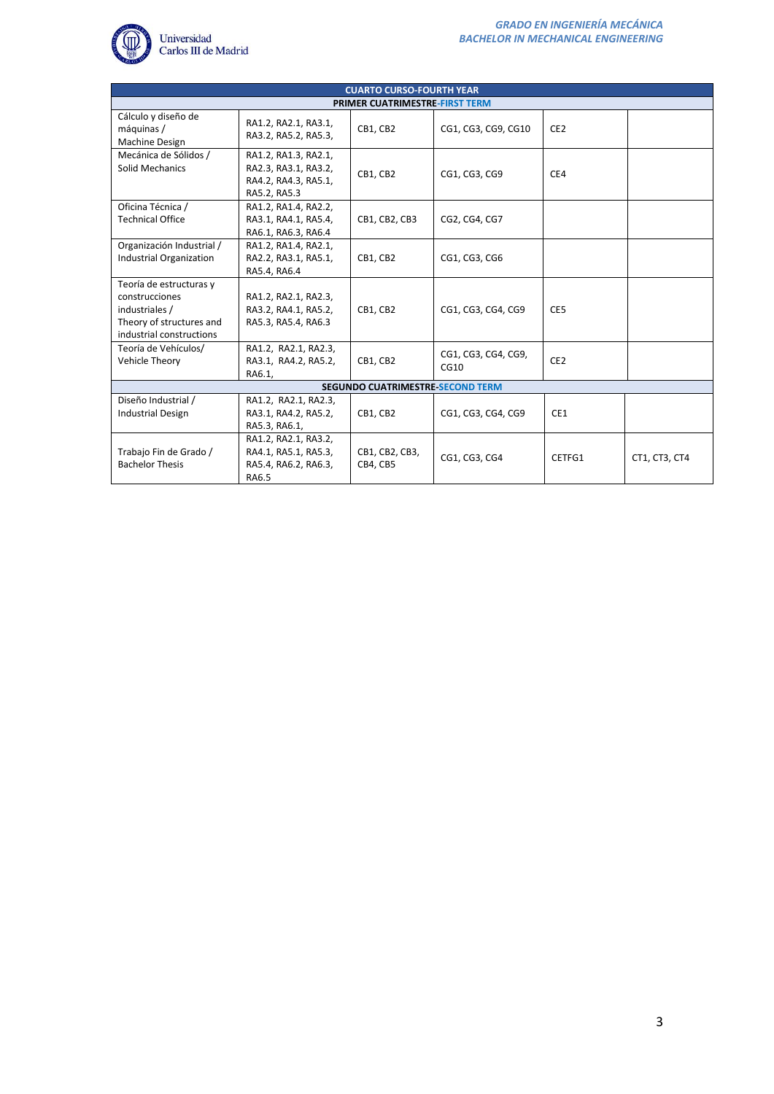

|                                                                                                                     | <b>CUARTO CURSO-FOURTH YEAR</b>                                                      |                                       |                             |                 |               |  |  |
|---------------------------------------------------------------------------------------------------------------------|--------------------------------------------------------------------------------------|---------------------------------------|-----------------------------|-----------------|---------------|--|--|
|                                                                                                                     |                                                                                      | <b>PRIMER CUATRIMESTRE-FIRST TERM</b> |                             |                 |               |  |  |
| Cálculo y diseño de<br>máquinas /<br>Machine Design                                                                 | RA1.2, RA2.1, RA3.1,<br>RA3.2, RA5.2, RA5.3,                                         | CB1, CB2                              | CG1, CG3, CG9, CG10         | CE <sub>2</sub> |               |  |  |
| Mecánica de Sólidos /<br>Solid Mechanics                                                                            | RA1.2, RA1.3, RA2.1,<br>RA2.3, RA3.1, RA3.2,<br>RA4.2, RA4.3, RA5.1,<br>RA5.2, RA5.3 | CB1, CB2                              | CG1, CG3, CG9               | CE4             |               |  |  |
| Oficina Técnica /<br><b>Technical Office</b>                                                                        | RA1.2, RA1.4, RA2.2,<br>RA3.1, RA4.1, RA5.4,<br>RA6.1, RA6.3, RA6.4                  | CB1, CB2, CB3                         | CG2, CG4, CG7               |                 |               |  |  |
| Organización Industrial /<br>Industrial Organization                                                                | RA1.2, RA1.4, RA2.1,<br>RA2.2, RA3.1, RA5.1,<br>RA5.4, RA6.4                         | CB1, CB2                              | CG1, CG3, CG6               |                 |               |  |  |
| Teoría de estructuras y<br>construcciones<br>industriales /<br>Theory of structures and<br>industrial constructions | RA1.2, RA2.1, RA2.3,<br>RA3.2, RA4.1, RA5.2,<br>RA5.3, RA5.4, RA6.3                  | CB1, CB2                              | CG1, CG3, CG4, CG9          | CE5             |               |  |  |
| Teoría de Vehículos/<br>Vehicle Theory                                                                              | RA1.2, RA2.1, RA2.3,<br>RA3.1, RA4.2, RA5.2,<br>RA6.1,                               | CB1, CB2                              | CG1, CG3, CG4, CG9,<br>CG10 | CE <sub>2</sub> |               |  |  |
| <b>SEGUNDO CUATRIMESTRE SECOND TERM</b>                                                                             |                                                                                      |                                       |                             |                 |               |  |  |
| Diseño Industrial /<br><b>Industrial Design</b>                                                                     | RA1.2, RA2.1, RA2.3,<br>RA3.1, RA4.2, RA5.2,<br>RA5.3, RA6.1,                        | CB1. CB2                              | CG1, CG3, CG4, CG9          | CE1             |               |  |  |
| Trabajo Fin de Grado /<br><b>Bachelor Thesis</b>                                                                    | RA1.2, RA2.1, RA3.2,<br>RA4.1, RA5.1, RA5.3,<br>RA5.4, RA6.2, RA6.3,<br>RA6.5        | CB1, CB2, CB3,<br>CB4, CB5            | CG1, CG3, CG4               | CETFG1          | CT1, CT3, CT4 |  |  |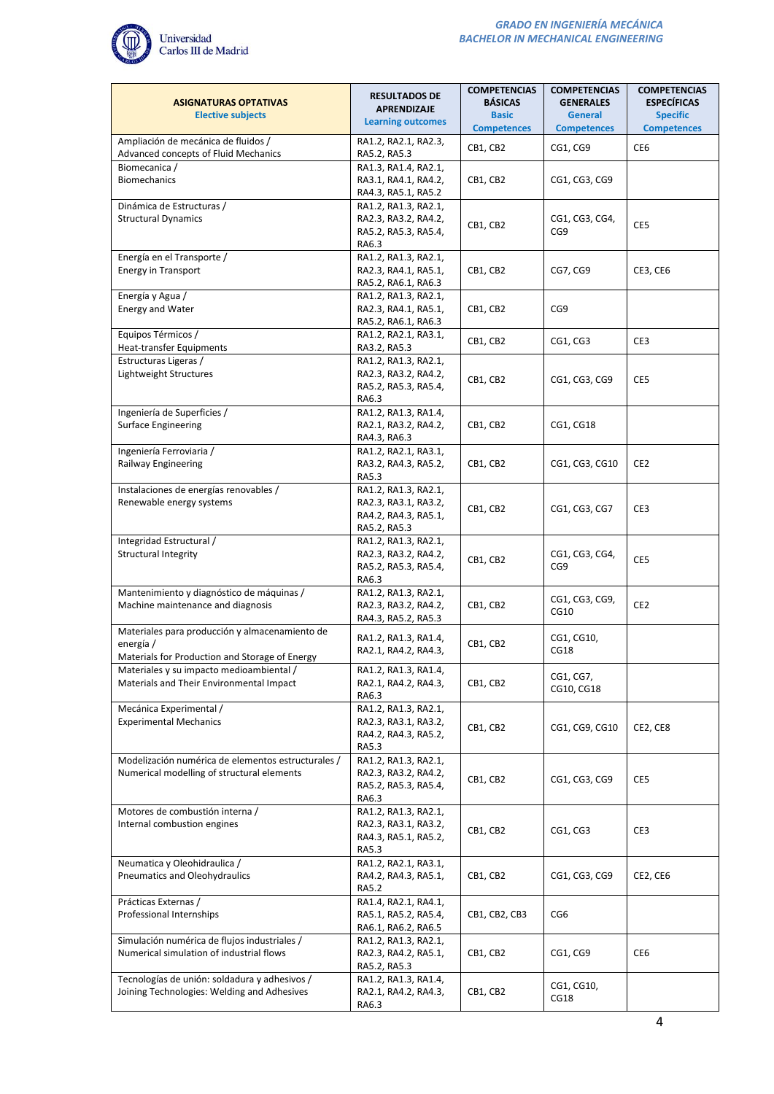

| <b>ASIGNATURAS OPTATIVAS</b><br><b>Elective subjects</b>                                                      | <b>RESULTADOS DE</b><br><b>APRENDIZAJE</b><br><b>Learning outcomes</b>               | <b>COMPETENCIAS</b><br><b>BÁSICAS</b><br><b>Basic</b> | <b>COMPETENCIAS</b><br><b>GENERALES</b><br><b>General</b> | <b>COMPETENCIAS</b><br><b>ESPECÍFICAS</b><br><b>Specific</b> |
|---------------------------------------------------------------------------------------------------------------|--------------------------------------------------------------------------------------|-------------------------------------------------------|-----------------------------------------------------------|--------------------------------------------------------------|
|                                                                                                               |                                                                                      | <b>Competences</b>                                    | <b>Competences</b>                                        | <b>Competences</b>                                           |
| Ampliación de mecánica de fluidos /<br>Advanced concepts of Fluid Mechanics                                   | RA1.2, RA2.1, RA2.3,<br>RA5.2, RA5.3                                                 | CB1, CB2                                              | CG1, CG9                                                  | CE6                                                          |
| Biomecanica /<br><b>Biomechanics</b>                                                                          | RA1.3, RA1.4, RA2.1,<br>RA3.1, RA4.1, RA4.2,<br>RA4.3, RA5.1, RA5.2                  | CB1, CB2                                              | CG1, CG3, CG9                                             |                                                              |
| Dinámica de Estructuras /<br><b>Structural Dynamics</b>                                                       | RA1.2, RA1.3, RA2.1,<br>RA2.3, RA3.2, RA4.2,<br>RA5.2, RA5.3, RA5.4,<br>RA6.3        | CB1, CB2                                              | CG1, CG3, CG4,<br>CG9                                     | CE5                                                          |
| Energía en el Transporte /<br><b>Energy in Transport</b>                                                      | RA1.2, RA1.3, RA2.1,<br>RA2.3, RA4.1, RA5.1,<br>RA5.2, RA6.1, RA6.3                  | CB1, CB2                                              | CG7, CG9                                                  | CE3, CE6                                                     |
| Energía y Agua /<br><b>Energy and Water</b>                                                                   | RA1.2, RA1.3, RA2.1,<br>RA2.3, RA4.1, RA5.1,<br>RA5.2, RA6.1, RA6.3                  | CB1, CB2                                              | CG9                                                       |                                                              |
| Equipos Térmicos /<br><b>Heat-transfer Equipments</b>                                                         | RA1.2, RA2.1, RA3.1,<br>RA3.2, RA5.3                                                 | CB1, CB2                                              | CG1, CG3                                                  | CE3                                                          |
| Estructuras Ligeras /<br>Lightweight Structures                                                               | RA1.2, RA1.3, RA2.1,<br>RA2.3, RA3.2, RA4.2,<br>RA5.2, RA5.3, RA5.4,<br>RA6.3        | CB1, CB2                                              | CG1, CG3, CG9                                             | CE5                                                          |
| Ingeniería de Superficies /<br><b>Surface Engineering</b>                                                     | RA1.2, RA1.3, RA1.4,<br>RA2.1, RA3.2, RA4.2,<br>RA4.3, RA6.3                         | CB1, CB2                                              | CG1, CG18                                                 |                                                              |
| Ingeniería Ferroviaria /<br>Railway Engineering                                                               | RA1.2, RA2.1, RA3.1,<br>RA3.2, RA4.3, RA5.2,<br>RA5.3                                | CB1, CB2                                              | CG1, CG3, CG10                                            | CE <sub>2</sub>                                              |
| Instalaciones de energías renovables /<br>Renewable energy systems                                            | RA1.2, RA1.3, RA2.1,<br>RA2.3, RA3.1, RA3.2,<br>RA4.2, RA4.3, RA5.1,<br>RA5.2, RA5.3 | CB1, CB2                                              | CG1, CG3, CG7                                             | CE3                                                          |
| Integridad Estructural /<br><b>Structural Integrity</b>                                                       | RA1.2, RA1.3, RA2.1,<br>RA2.3, RA3.2, RA4.2,<br>RA5.2, RA5.3, RA5.4,<br>RA6.3        | CB1, CB2                                              | CG1, CG3, CG4,<br>CG9                                     | CE5                                                          |
| Mantenimiento y diagnóstico de máquinas /<br>Machine maintenance and diagnosis                                | RA1.2, RA1.3, RA2.1,<br>RA2.3, RA3.2, RA4.2,<br>RA4.3, RA5.2, RA5.3                  | CB1, CB2                                              | CG1, CG3, CG9,<br>CG10                                    | CE <sub>2</sub>                                              |
| Materiales para producción y almacenamiento de<br>energía /<br>Materials for Production and Storage of Energy | RA1.2, RA1.3, RA1.4,<br>RA2.1, RA4.2, RA4.3,                                         | CB1, CB2                                              | CG1, CG10,<br>CG18                                        |                                                              |
| Materiales y su impacto medioambiental /<br>Materials and Their Environmental Impact                          | RA1.2, RA1.3, RA1.4,<br>RA2.1, RA4.2, RA4.3,<br>RA6.3                                | CB1, CB2                                              | CG1, CG7,<br>CG10, CG18                                   |                                                              |
| Mecánica Experimental /<br><b>Experimental Mechanics</b>                                                      | RA1.2, RA1.3, RA2.1,<br>RA2.3, RA3.1, RA3.2,<br>RA4.2, RA4.3, RA5.2,<br>RA5.3        | CB1, CB2                                              | CG1, CG9, CG10                                            | CE2, CE8                                                     |
| Modelización numérica de elementos estructurales /<br>Numerical modelling of structural elements              | RA1.2, RA1.3, RA2.1,<br>RA2.3, RA3.2, RA4.2,<br>RA5.2, RA5.3, RA5.4,<br>RA6.3        | CB1, CB2                                              | CG1, CG3, CG9                                             | CE5                                                          |
| Motores de combustión interna /<br>Internal combustion engines                                                | RA1.2, RA1.3, RA2.1,<br>RA2.3, RA3.1, RA3.2,<br>RA4.3, RA5.1, RA5.2,<br>RA5.3        | CB1, CB2                                              | CG1, CG3                                                  | CE3                                                          |
| Neumatica y Oleohidraulica /<br>Pneumatics and Oleohydraulics                                                 | RA1.2, RA2.1, RA3.1,<br>RA4.2, RA4.3, RA5.1,<br>RA5.2                                | CB1, CB2                                              | CG1, CG3, CG9                                             | CE2, CE6                                                     |
| Prácticas Externas /<br>Professional Internships                                                              | RA1.4, RA2.1, RA4.1,<br>RA5.1, RA5.2, RA5.4,<br>RA6.1, RA6.2, RA6.5                  | CB1, CB2, CB3                                         | CG <sub>6</sub>                                           |                                                              |
| Simulación numérica de flujos industriales /<br>Numerical simulation of industrial flows                      | RA1.2, RA1.3, RA2.1,<br>RA2.3, RA4.2, RA5.1,<br>RA5.2, RA5.3                         | CB1, CB2                                              | CG1, CG9                                                  | CE6                                                          |
| Tecnologías de unión: soldadura y adhesivos /<br>Joining Technologies: Welding and Adhesives                  | RA1.2, RA1.3, RA1.4,<br>RA2.1, RA4.2, RA4.3,<br>RA6.3                                | CB1, CB2                                              | CG1, CG10,<br>CG18                                        |                                                              |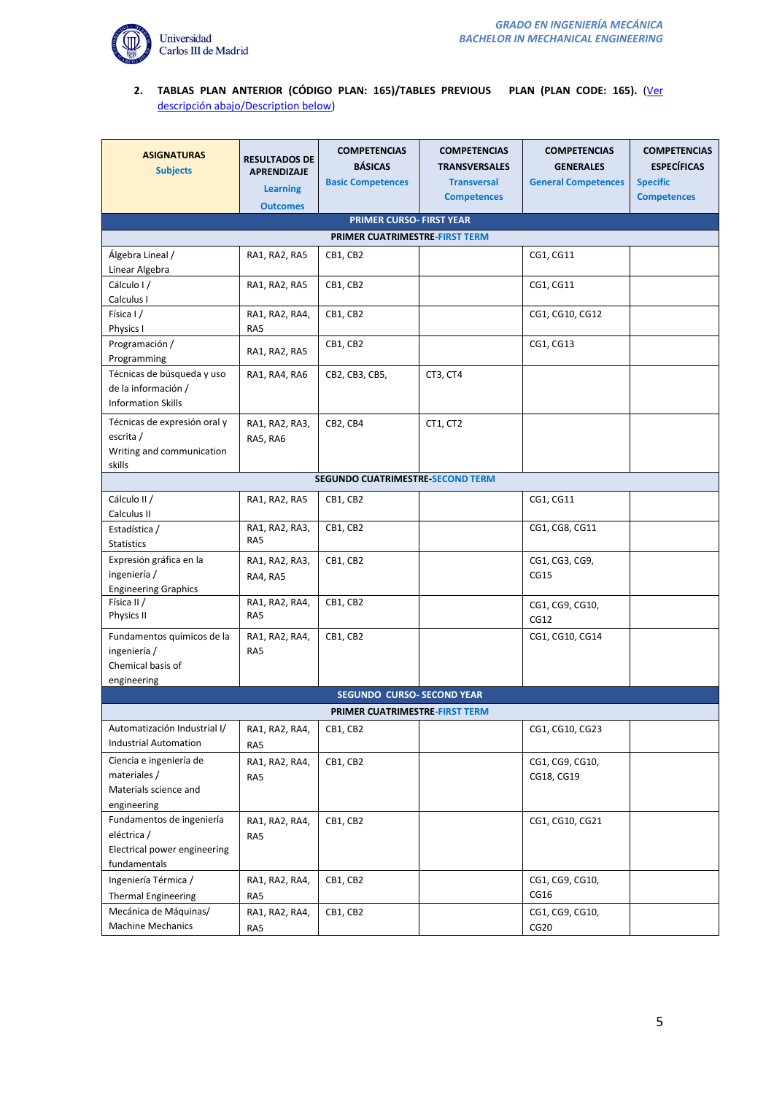

# **2. TABLAS PLAN ANTERIOR (CÓDIGO PLAN: 165)/TABLES PREVIOUS PLAN (PLAN CODE: 165).** [\(Ver](#page-8-0)  [descripción abajo/Description below\)](#page-8-0)

| <b>ASIGNATURAS</b><br><b>Subjects</b>                                                    | <b>RESULTADOS DE</b><br><b>APRENDIZAJE</b><br><b>Learning</b><br><b>Outcomes</b> | <b>COMPETENCIAS</b><br><b>BÁSICAS</b><br><b>Basic Competences</b> | <b>COMPETENCIAS</b><br><b>TRANSVERSALES</b><br><b>Transversal</b><br><b>Competences</b> | <b>COMPETENCIAS</b><br><b>GENERALES</b><br><b>General Competences</b> | <b>COMPETENCIAS</b><br><b>ESPECÍFICAS</b><br><b>Specific</b><br><b>Competences</b> |
|------------------------------------------------------------------------------------------|----------------------------------------------------------------------------------|-------------------------------------------------------------------|-----------------------------------------------------------------------------------------|-----------------------------------------------------------------------|------------------------------------------------------------------------------------|
|                                                                                          |                                                                                  | PRIMER CURSO- FIRST YEAR                                          |                                                                                         |                                                                       |                                                                                    |
|                                                                                          |                                                                                  | <b>PRIMER CUATRIMESTRE-FIRST TERM</b>                             |                                                                                         |                                                                       |                                                                                    |
| Álgebra Lineal /                                                                         | RA1, RA2, RA5                                                                    | CB1, CB2                                                          |                                                                                         | CG1, CG11                                                             |                                                                                    |
| Linear Algebra                                                                           |                                                                                  |                                                                   |                                                                                         |                                                                       |                                                                                    |
| Cálculo I/<br>Calculus I                                                                 | RA1, RA2, RA5                                                                    | CB1, CB2                                                          |                                                                                         | CG1, CG11                                                             |                                                                                    |
| Física I/<br>Physics I                                                                   | RA1, RA2, RA4,<br>RA5                                                            | CB1, CB2                                                          |                                                                                         | CG1, CG10, CG12                                                       |                                                                                    |
| Programación /<br>Programming                                                            | RA1, RA2, RA5                                                                    | CB1, CB2                                                          |                                                                                         | CG1, CG13                                                             |                                                                                    |
| Técnicas de búsqueda y uso<br>de la información /<br><b>Information Skills</b>           | RA1, RA4, RA6                                                                    | CB2, CB3, CB5,                                                    | CT3, CT4                                                                                |                                                                       |                                                                                    |
| Técnicas de expresión oral y<br>escrita /<br>Writing and communication<br>skills         | RA1, RA2, RA3,<br>RA5, RA6                                                       | CB2, CB4                                                          | CT1, CT2                                                                                |                                                                       |                                                                                    |
|                                                                                          |                                                                                  | <b>SEGUNDO CUATRIMESTRE-SECOND TERM</b>                           |                                                                                         |                                                                       |                                                                                    |
| Cálculo II /<br>Calculus II                                                              | RA1, RA2, RA5                                                                    | CB1, CB2                                                          |                                                                                         | CG1, CG11                                                             |                                                                                    |
| Estadística /<br><b>Statistics</b>                                                       | RA1, RA2, RA3,<br>RA5                                                            | CB1, CB2                                                          |                                                                                         | CG1, CG8, CG11                                                        |                                                                                    |
| Expresión gráfica en la<br>ingeniería /<br><b>Engineering Graphics</b>                   | RA1, RA2, RA3,<br>RA4, RA5                                                       | CB1, CB2                                                          |                                                                                         | CG1, CG3, CG9,<br>CG15                                                |                                                                                    |
| Física II /<br>Physics II                                                                | RA1, RA2, RA4,<br>RA5                                                            | CB1, CB2                                                          |                                                                                         | CG1, CG9, CG10,<br>CG12                                               |                                                                                    |
| Fundamentos químicos de la<br>ingeniería /<br>Chemical basis of<br>engineering           | RA1, RA2, RA4,<br>RA5                                                            | CB1, CB2                                                          |                                                                                         | CG1, CG10, CG14                                                       |                                                                                    |
|                                                                                          |                                                                                  | <b>SEGUNDO CURSO- SECOND YEAR</b>                                 |                                                                                         |                                                                       |                                                                                    |
|                                                                                          |                                                                                  | <b>PRIMER CUATRIMESTRE-FIRST TERM</b>                             |                                                                                         |                                                                       |                                                                                    |
| Automatización Industrial I/<br><b>Industrial Automation</b>                             | RA1, RA2, RA4,<br>RA5                                                            | CB1, CB2                                                          |                                                                                         | CG1, CG10, CG23                                                       |                                                                                    |
| Ciencia e ingeniería de<br>materiales /<br>Materials science and<br>engineering          | RA1, RA2, RA4,<br>RA5                                                            | CB1, CB2                                                          |                                                                                         | CG1, CG9, CG10,<br>CG18, CG19                                         |                                                                                    |
| Fundamentos de ingeniería<br>eléctrica /<br>Electrical power engineering<br>fundamentals | RA1, RA2, RA4,<br>RA5                                                            | CB1, CB2                                                          |                                                                                         | CG1, CG10, CG21                                                       |                                                                                    |
| Ingeniería Térmica /<br><b>Thermal Engineering</b>                                       | RA1, RA2, RA4,<br>RA5                                                            | CB1, CB2                                                          |                                                                                         | CG1, CG9, CG10,<br>CG16                                               |                                                                                    |
| Mecánica de Máquinas/<br><b>Machine Mechanics</b>                                        | RA1, RA2, RA4,<br>RA5                                                            | CB1, CB2                                                          |                                                                                         | CG1, CG9, CG10,<br>CG <sub>20</sub>                                   |                                                                                    |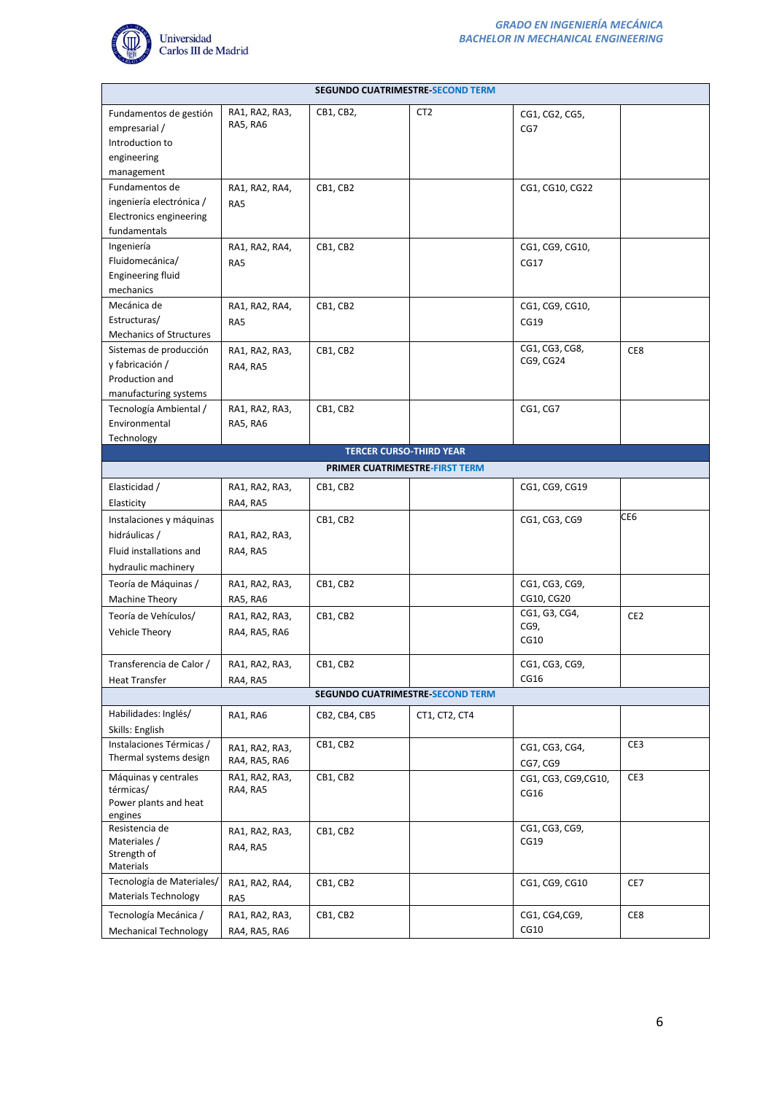

|                                                 |                            | <b>SEGUNDO CUATRIMESTRE SECOND TERM</b> |                 |                             |                 |
|-------------------------------------------------|----------------------------|-----------------------------------------|-----------------|-----------------------------|-----------------|
| Fundamentos de gestión                          | RA1, RA2, RA3,             | CB1, CB2,                               | CT <sub>2</sub> | CG1, CG2, CG5,              |                 |
| empresarial /                                   | RA5, RA6                   |                                         |                 | CG7                         |                 |
| Introduction to                                 |                            |                                         |                 |                             |                 |
| engineering                                     |                            |                                         |                 |                             |                 |
| management                                      |                            |                                         |                 |                             |                 |
| Fundamentos de                                  | RA1, RA2, RA4,             | CB1, CB2                                |                 | CG1, CG10, CG22             |                 |
| ingeniería electrónica /                        | RA5                        |                                         |                 |                             |                 |
| Electronics engineering                         |                            |                                         |                 |                             |                 |
| fundamentals                                    |                            |                                         |                 |                             |                 |
| Ingeniería                                      | RA1, RA2, RA4,             | CB1, CB2                                |                 | CG1, CG9, CG10,             |                 |
| Fluidomecánica/                                 | RA5                        |                                         |                 | CG17                        |                 |
| <b>Engineering fluid</b>                        |                            |                                         |                 |                             |                 |
| mechanics                                       |                            |                                         |                 |                             |                 |
| Mecánica de                                     | RA1, RA2, RA4,             | CB1, CB2                                |                 | CG1, CG9, CG10,             |                 |
| Estructuras/                                    | RA5                        |                                         |                 | CG19                        |                 |
| <b>Mechanics of Structures</b>                  |                            |                                         |                 |                             |                 |
| Sistemas de producción                          | RA1, RA2, RA3,             | CB1, CB2                                |                 | CG1, CG3, CG8,<br>CG9, CG24 | CE8             |
| y fabricación /                                 | RA4, RA5                   |                                         |                 |                             |                 |
| Production and                                  |                            |                                         |                 |                             |                 |
| manufacturing systems<br>Tecnología Ambiental / |                            |                                         |                 |                             |                 |
| Environmental                                   | RA1, RA2, RA3,<br>RA5, RA6 | CB1, CB2                                |                 | CG1, CG7                    |                 |
| Technology                                      |                            |                                         |                 |                             |                 |
|                                                 |                            | <b>TERCER CURSO-THIRD YEAR</b>          |                 |                             |                 |
|                                                 |                            | PRIMER CUATRIMESTRE-FIRST TERM          |                 |                             |                 |
| Elasticidad /                                   | RA1, RA2, RA3,             | CB1, CB2                                |                 | CG1, CG9, CG19              |                 |
| Elasticity                                      | RA4, RA5                   |                                         |                 |                             |                 |
| Instalaciones y máquinas                        |                            | CB1, CB2                                |                 | CG1, CG3, CG9               | CE6             |
| hidráulicas /                                   | RA1, RA2, RA3,             |                                         |                 |                             |                 |
| Fluid installations and                         | RA4, RA5                   |                                         |                 |                             |                 |
| hydraulic machinery                             |                            |                                         |                 |                             |                 |
|                                                 |                            |                                         |                 | CG1, CG3, CG9,              |                 |
| Teoría de Máquinas /                            | RA1, RA2, RA3,             | CB1, CB2                                |                 | CG10, CG20                  |                 |
| <b>Machine Theory</b>                           | RA5, RA6                   |                                         |                 | CG1, G3, CG4,               |                 |
| Teoría de Vehículos/                            | RA1, RA2, RA3,             | CB1, CB2                                |                 | CG9,                        | CE <sub>2</sub> |
| Vehicle Theory                                  | RA4, RA5, RA6              |                                         |                 | CG10                        |                 |
|                                                 |                            |                                         |                 |                             |                 |
| Transferencia de Calor /                        | RA1, RA2, RA3,             | CB1, CB2                                |                 | CG1, CG3, CG9,              |                 |
| Heat Transfer                                   | RA4, RA5                   |                                         |                 | CG16                        |                 |
|                                                 |                            | <b>SEGUNDO CUATRIMESTRE SECOND TERM</b> |                 |                             |                 |
| Habilidades: Inglés/                            | RA1, RA6                   | CB2, CB4, CB5                           | CT1, CT2, CT4   |                             |                 |
| Skills: English                                 |                            |                                         |                 |                             |                 |
| Instalaciones Térmicas /                        | RA1, RA2, RA3,             | CB1, CB2                                |                 | CG1, CG3, CG4,              | CE3             |
| Thermal systems design                          | RA4, RA5, RA6              |                                         |                 | CG7, CG9                    |                 |
| Máquinas y centrales                            | RA1, RA2, RA3,             | CB1, CB2                                |                 | CG1, CG3, CG9, CG10,        | CE3             |
| térmicas/                                       | RA4, RA5                   |                                         |                 | CG16                        |                 |
| Power plants and heat<br>engines                |                            |                                         |                 |                             |                 |
| Resistencia de                                  | RA1, RA2, RA3,             | CB1, CB2                                |                 | CG1, CG3, CG9,              |                 |
| Materiales /                                    | RA4, RA5                   |                                         |                 | CG19                        |                 |
| Strength of                                     |                            |                                         |                 |                             |                 |
| Materials                                       |                            |                                         |                 |                             |                 |
| Tecnología de Materiales/                       | RA1, RA2, RA4,             | CB1, CB2                                |                 | CG1, CG9, CG10              | CE7             |
| <b>Materials Technology</b>                     | RA5                        |                                         |                 |                             |                 |
| Tecnología Mecánica /                           | RA1, RA2, RA3,             | CB1, CB2                                |                 | CG1, CG4, CG9,              | CE8             |
| <b>Mechanical Technology</b>                    | RA4, RA5, RA6              |                                         |                 | CG10                        |                 |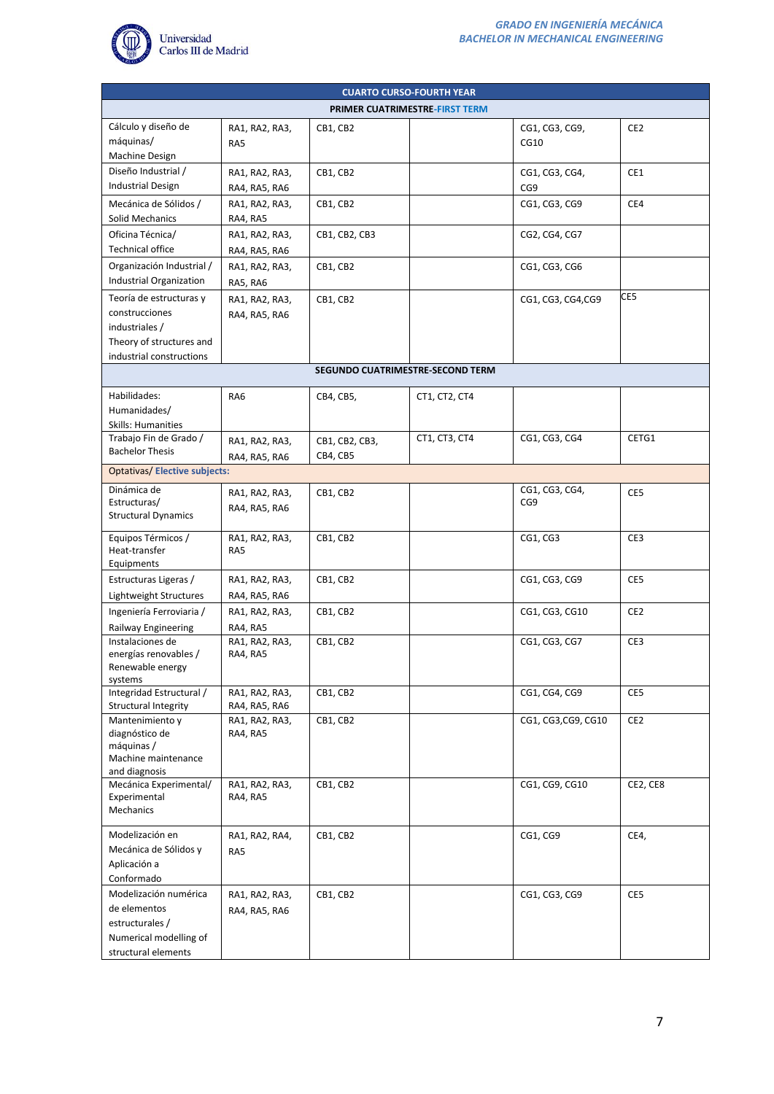

| <b>CUARTO CURSO-FOURTH YEAR</b><br><b>PRIMER CUATRIMESTRE-FIRST TERM</b> |                |                                  |               |                     |                 |  |
|--------------------------------------------------------------------------|----------------|----------------------------------|---------------|---------------------|-----------------|--|
|                                                                          |                |                                  |               |                     |                 |  |
| Cálculo y diseño de                                                      | RA1, RA2, RA3, | CB1, CB2                         |               | CG1, CG3, CG9,      | CE <sub>2</sub> |  |
| máquinas/                                                                | RA5            |                                  |               | CG10                |                 |  |
| Machine Design<br>Diseño Industrial /                                    |                |                                  |               |                     |                 |  |
| <b>Industrial Design</b>                                                 | RA1, RA2, RA3, | CB1, CB2                         |               | CG1, CG3, CG4,      | CE1             |  |
|                                                                          | RA4, RA5, RA6  |                                  |               | CG9                 |                 |  |
| Mecánica de Sólidos /                                                    | RA1, RA2, RA3, | CB1, CB2                         |               | CG1, CG3, CG9       | CE4             |  |
| Solid Mechanics                                                          | RA4, RA5       |                                  |               |                     |                 |  |
| Oficina Técnica/                                                         | RA1, RA2, RA3, | CB1, CB2, CB3                    |               | CG2, CG4, CG7       |                 |  |
| <b>Technical office</b>                                                  | RA4, RA5, RA6  |                                  |               |                     |                 |  |
| Organización Industrial /                                                | RA1, RA2, RA3, | CB1, CB2                         |               | CG1, CG3, CG6       |                 |  |
| Industrial Organization                                                  | RA5, RA6       |                                  |               |                     |                 |  |
| Teoría de estructuras y                                                  | RA1, RA2, RA3, | CB1, CB2                         |               | CG1, CG3, CG4, CG9  | CE5             |  |
| construcciones                                                           | RA4, RA5, RA6  |                                  |               |                     |                 |  |
| industriales /                                                           |                |                                  |               |                     |                 |  |
| Theory of structures and                                                 |                |                                  |               |                     |                 |  |
| industrial constructions                                                 |                | SEGUNDO CUATRIMESTRE-SECOND TERM |               |                     |                 |  |
|                                                                          |                |                                  |               |                     |                 |  |
| Habilidades:                                                             | RA6            | CB4, CB5,                        | CT1, CT2, CT4 |                     |                 |  |
| Humanidades/                                                             |                |                                  |               |                     |                 |  |
| <b>Skills: Humanities</b>                                                |                |                                  |               |                     |                 |  |
| Trabajo Fin de Grado /                                                   | RA1, RA2, RA3, | CB1, CB2, CB3,                   | CT1, CT3, CT4 | CG1, CG3, CG4       | CETG1           |  |
| <b>Bachelor Thesis</b>                                                   | RA4, RA5, RA6  | CB4, CB5                         |               |                     |                 |  |
| <b>Optativas/Elective subjects:</b>                                      |                |                                  |               |                     |                 |  |
| Dinámica de                                                              | RA1, RA2, RA3, | CB1, CB2                         |               | CG1, CG3, CG4,      | CE5             |  |
| Estructuras/                                                             | RA4, RA5, RA6  |                                  |               | CG9                 |                 |  |
| <b>Structural Dynamics</b>                                               |                |                                  |               |                     |                 |  |
| Equipos Térmicos /                                                       | RA1, RA2, RA3, | CB1, CB2                         |               | CG1, CG3            | CE3             |  |
| Heat-transfer                                                            | RA5            |                                  |               |                     |                 |  |
| Equipments                                                               |                |                                  |               |                     |                 |  |
| Estructuras Ligeras /                                                    | RA1, RA2, RA3, | CB1, CB2                         |               | CG1, CG3, CG9       | CE5             |  |
| Lightweight Structures                                                   | RA4, RA5, RA6  |                                  |               |                     |                 |  |
| Ingeniería Ferroviaria /                                                 | RA1, RA2, RA3, | CB1, CB2                         |               | CG1, CG3, CG10      | CE <sub>2</sub> |  |
| Railway Engineering                                                      | RA4, RA5       |                                  |               |                     |                 |  |
| Instalaciones de                                                         | RA1, RA2, RA3, | CB1, CB2                         |               | CG1, CG3, CG7       | CE3             |  |
| energías renovables /                                                    | RA4, RA5       |                                  |               |                     |                 |  |
| Renewable energy<br>systems                                              |                |                                  |               |                     |                 |  |
| Integridad Estructural /                                                 | RA1, RA2, RA3, | CB1, CB2                         |               | CG1, CG4, CG9       | CE5             |  |
| Structural Integrity                                                     | RA4, RA5, RA6  |                                  |               |                     |                 |  |
| Mantenimiento y                                                          | RA1, RA2, RA3, | CB1, CB2                         |               | CG1, CG3, CG9, CG10 | CE <sub>2</sub> |  |
| diagnóstico de                                                           | RA4, RA5       |                                  |               |                     |                 |  |
| máquinas /<br>Machine maintenance                                        |                |                                  |               |                     |                 |  |
| and diagnosis                                                            |                |                                  |               |                     |                 |  |
| Mecánica Experimental/                                                   | RA1, RA2, RA3, | CB1, CB2                         |               | CG1, CG9, CG10      | CE2, CE8        |  |
| Experimental                                                             | RA4, RA5       |                                  |               |                     |                 |  |
| Mechanics                                                                |                |                                  |               |                     |                 |  |
| Modelización en                                                          | RA1, RA2, RA4, | CB1, CB2                         |               | CG1, CG9            | CE4,            |  |
| Mecánica de Sólidos y                                                    | RA5            |                                  |               |                     |                 |  |
| Aplicación a                                                             |                |                                  |               |                     |                 |  |
| Conformado                                                               |                |                                  |               |                     |                 |  |
| Modelización numérica                                                    | RA1, RA2, RA3, | CB1, CB2                         |               | CG1, CG3, CG9       | CE5             |  |
| de elementos                                                             | RA4, RA5, RA6  |                                  |               |                     |                 |  |
| estructurales /                                                          |                |                                  |               |                     |                 |  |
| Numerical modelling of                                                   |                |                                  |               |                     |                 |  |
| structural elements                                                      |                |                                  |               |                     |                 |  |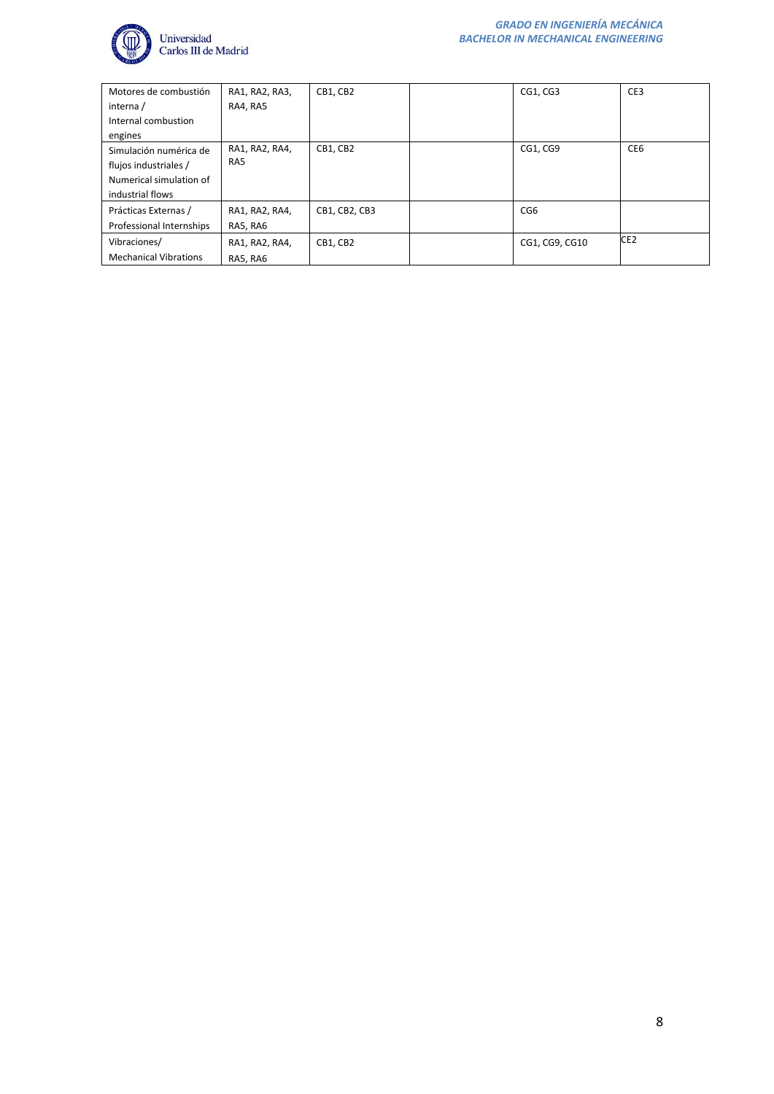

| Motores de combustión<br>interna / | RA1, RA2, RA3,<br>RA4, RA5 | CB1, CB2      | CG1, CG3        | CE3             |
|------------------------------------|----------------------------|---------------|-----------------|-----------------|
| Internal combustion                |                            |               |                 |                 |
| engines                            |                            |               |                 |                 |
| Simulación numérica de             | RA1, RA2, RA4,             | CB1, CB2      | CG1, CG9        | CE <sub>6</sub> |
| flujos industriales /              | RA5                        |               |                 |                 |
| Numerical simulation of            |                            |               |                 |                 |
| industrial flows                   |                            |               |                 |                 |
| Prácticas Externas /               | RA1, RA2, RA4,             | CB1, CB2, CB3 | CG <sub>6</sub> |                 |
| Professional Internships           | RA5, RA6                   |               |                 |                 |
| Vibraciones/                       | RA1, RA2, RA4,             | CB1, CB2      | CG1, CG9, CG10  | CE <sub>2</sub> |
| <b>Mechanical Vibrations</b>       | RA5, RA6                   |               |                 |                 |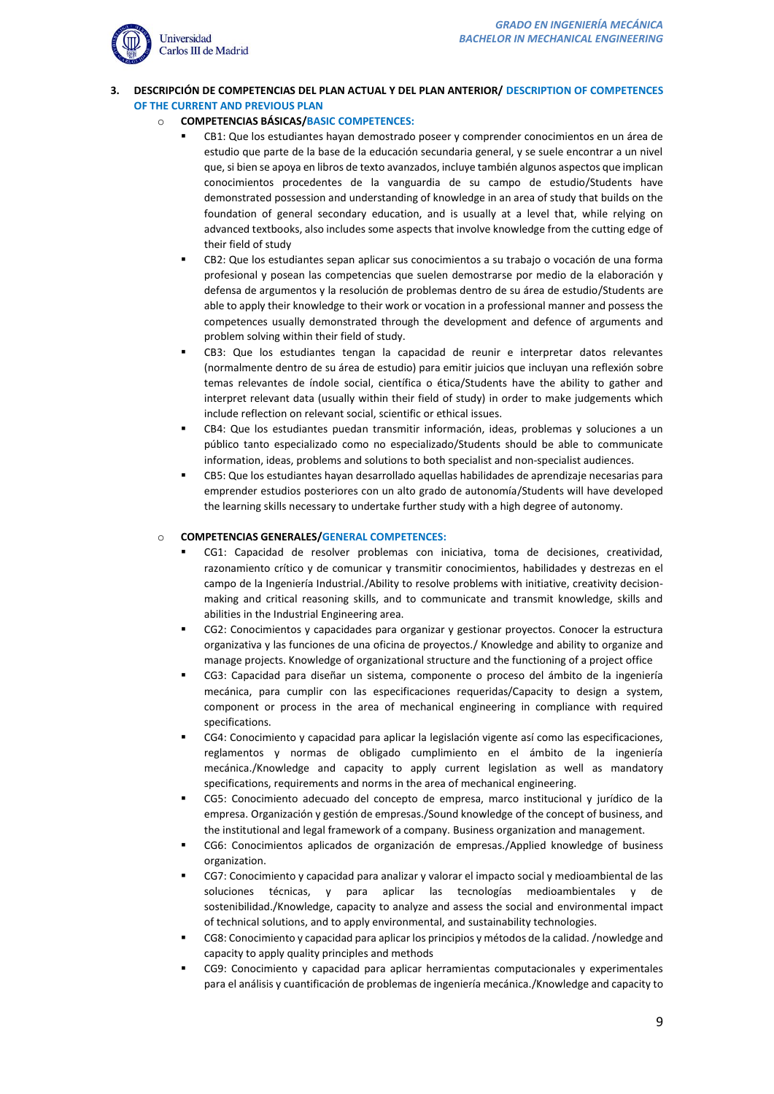

# <span id="page-8-0"></span>**3. DESCRIPCIÓN DE COMPETENCIAS DEL PLAN ACTUAL Y DEL PLAN ANTERIOR/ DESCRIPTION OF COMPETENCES OF THE CURRENT AND PREVIOUS PLAN**

# o **COMPETENCIAS BÁSICAS/BASIC COMPETENCES:**

- CB1: Que los estudiantes hayan demostrado poseer y comprender conocimientos en un área de estudio que parte de la base de la educación secundaria general, y se suele encontrar a un nivel que, si bien se apoya en libros de texto avanzados, incluye también algunos aspectos que implican conocimientos procedentes de la vanguardia de su campo de estudio/Students have demonstrated possession and understanding of knowledge in an area of study that builds on the foundation of general secondary education, and is usually at a level that, while relying on advanced textbooks, also includes some aspects that involve knowledge from the cutting edge of their field of study
- CB2: Que los estudiantes sepan aplicar sus conocimientos a su trabajo o vocación de una forma profesional y posean las competencias que suelen demostrarse por medio de la elaboración y defensa de argumentos y la resolución de problemas dentro de su área de estudio/Students are able to apply their knowledge to their work or vocation in a professional manner and possess the competences usually demonstrated through the development and defence of arguments and problem solving within their field of study.
- CB3: Que los estudiantes tengan la capacidad de reunir e interpretar datos relevantes (normalmente dentro de su área de estudio) para emitir juicios que incluyan una reflexión sobre temas relevantes de índole social, científica o ética/Students have the ability to gather and interpret relevant data (usually within their field of study) in order to make judgements which include reflection on relevant social, scientific or ethical issues.
- CB4: Que los estudiantes puedan transmitir información, ideas, problemas y soluciones a un público tanto especializado como no especializado/Students should be able to communicate information, ideas, problems and solutions to both specialist and non-specialist audiences.
- CB5: Que los estudiantes hayan desarrollado aquellas habilidades de aprendizaje necesarias para emprender estudios posteriores con un alto grado de autonomía/Students will have developed the learning skills necessary to undertake further study with a high degree of autonomy.

# o **COMPETENCIAS GENERALES/GENERAL COMPETENCES:**

- CG1: Capacidad de resolver problemas con iniciativa, toma de decisiones, creatividad, razonamiento crítico y de comunicar y transmitir conocimientos, habilidades y destrezas en el campo de la Ingeniería Industrial./Ability to resolve problems with initiative, creativity decisionmaking and critical reasoning skills, and to communicate and transmit knowledge, skills and abilities in the Industrial Engineering area.
- CG2: Conocimientos y capacidades para organizar y gestionar proyectos. Conocer la estructura organizativa y las funciones de una oficina de proyectos./ Knowledge and ability to organize and manage projects. Knowledge of organizational structure and the functioning of a project office
- CG3: Capacidad para diseñar un sistema, componente o proceso del ámbito de la ingeniería mecánica, para cumplir con las especificaciones requeridas/Capacity to design a system, component or process in the area of mechanical engineering in compliance with required specifications.
- CG4: Conocimiento y capacidad para aplicar la legislación vigente así como las especificaciones, reglamentos y normas de obligado cumplimiento en el ámbito de la ingeniería mecánica./Knowledge and capacity to apply current legislation as well as mandatory specifications, requirements and norms in the area of mechanical engineering.
- CG5: Conocimiento adecuado del concepto de empresa, marco institucional y jurídico de la empresa. Organización y gestión de empresas./Sound knowledge of the concept of business, and the institutional and legal framework of a company. Business organization and management.
- CG6: Conocimientos aplicados de organización de empresas./Applied knowledge of business organization.
- CG7: Conocimiento y capacidad para analizar y valorar el impacto social y medioambiental de las soluciones técnicas, y para aplicar las tecnologías medioambientales y de sostenibilidad./Knowledge, capacity to analyze and assess the social and environmental impact of technical solutions, and to apply environmental, and sustainability technologies.
- CG8: Conocimiento y capacidad para aplicar los principios y métodos de la calidad. /nowledge and capacity to apply quality principles and methods
- CG9: Conocimiento y capacidad para aplicar herramientas computacionales y experimentales para el análisis y cuantificación de problemas de ingeniería mecánica./Knowledge and capacity to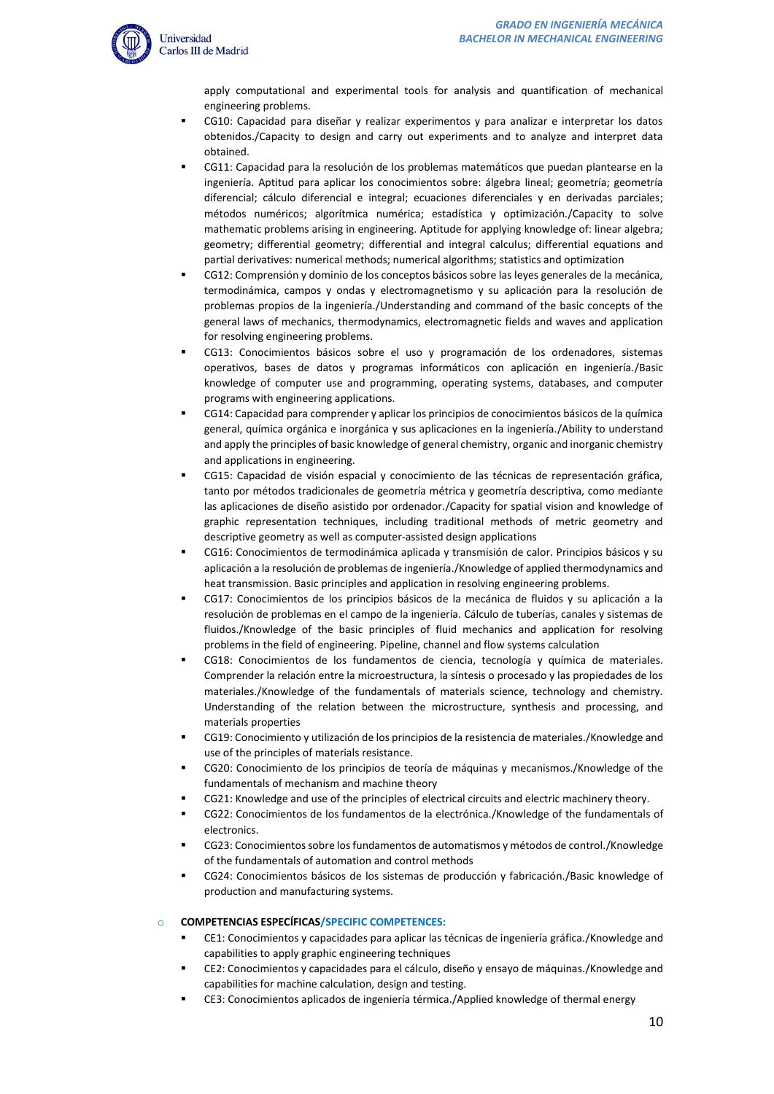

apply computational and experimental tools for analysis and quantification of mechanical engineering problems.

- CG10: Capacidad para diseñar y realizar experimentos y para analizar e interpretar los datos obtenidos./Capacity to design and carry out experiments and to analyze and interpret data obtained.
- CG11: Capacidad para la resolución de los problemas matemáticos que puedan plantearse en la ingeniería. Aptitud para aplicar los conocimientos sobre: álgebra lineal; geometría; geometría diferencial; cálculo diferencial e integral; ecuaciones diferenciales y en derivadas parciales; métodos numéricos; algorítmica numérica; estadística y optimización./Capacity to solve mathematic problems arising in engineering. Aptitude for applying knowledge of: linear algebra; geometry; differential geometry; differential and integral calculus; differential equations and partial derivatives: numerical methods; numerical algorithms; statistics and optimization
- CG12: Comprensión y dominio de los conceptos básicos sobre las leyes generales de la mecánica, termodinámica, campos y ondas y electromagnetismo y su aplicación para la resolución de problemas propios de la ingeniería./Understanding and command of the basic concepts of the general laws of mechanics, thermodynamics, electromagnetic fields and waves and application for resolving engineering problems.
- CG13: Conocimientos básicos sobre el uso y programación de los ordenadores, sistemas operativos, bases de datos y programas informáticos con aplicación en ingeniería./Basic knowledge of computer use and programming, operating systems, databases, and computer programs with engineering applications.
- CG14: Capacidad para comprender y aplicar los principios de conocimientos básicos de la química general, química orgánica e inorgánica y sus aplicaciones en la ingeniería./Ability to understand and apply the principles of basic knowledge of general chemistry, organic and inorganic chemistry and applications in engineering.
- CG15: Capacidad de visión espacial y conocimiento de las técnicas de representación gráfica, tanto por métodos tradicionales de geometría métrica y geometría descriptiva, como mediante las aplicaciones de diseño asistido por ordenador./Capacity for spatial vision and knowledge of graphic representation techniques, including traditional methods of metric geometry and descriptive geometry as well as computer-assisted design applications
- CG16: Conocimientos de termodinámica aplicada y transmisión de calor. Principios básicos y su aplicación a la resolución de problemas de ingeniería./Knowledge of applied thermodynamics and heat transmission. Basic principles and application in resolving engineering problems.
- CG17: Conocimientos de los principios básicos de la mecánica de fluidos y su aplicación a la resolución de problemas en el campo de la ingeniería. Cálculo de tuberías, canales y sistemas de fluidos./Knowledge of the basic principles of fluid mechanics and application for resolving problems in the field of engineering. Pipeline, channel and flow systems calculation
- CG18: Conocimientos de los fundamentos de ciencia, tecnología y química de materiales. Comprender la relación entre la microestructura, la síntesis o procesado y las propiedades de los materiales./Knowledge of the fundamentals of materials science, technology and chemistry. Understanding of the relation between the microstructure, synthesis and processing, and materials properties
- CG19: Conocimiento y utilización de los principios de la resistencia de materiales./Knowledge and use of the principles of materials resistance.
- CG20: Conocimiento de los principios de teoría de máquinas y mecanismos./Knowledge of the fundamentals of mechanism and machine theory
- CG21: Knowledge and use of the principles of electrical circuits and electric machinery theory.
- CG22: Conocimientos de los fundamentos de la electrónica./Knowledge of the fundamentals of electronics.
- CG23: Conocimientos sobre los fundamentos de automatismos y métodos de control./Knowledge of the fundamentals of automation and control methods
- CG24: Conocimientos básicos de los sistemas de producción y fabricación./Basic knowledge of production and manufacturing systems.

#### o **COMPETENCIAS ESPECÍFICAS/SPECIFIC COMPETENCES:**

- CE1: Conocimientos y capacidades para aplicar las técnicas de ingeniería gráfica./Knowledge and capabilities to apply graphic engineering techniques
- CE2: Conocimientos y capacidades para el cálculo, diseño y ensayo de máquinas./Knowledge and capabilities for machine calculation, design and testing.
- CE3: Conocimientos aplicados de ingeniería térmica./Applied knowledge of thermal energy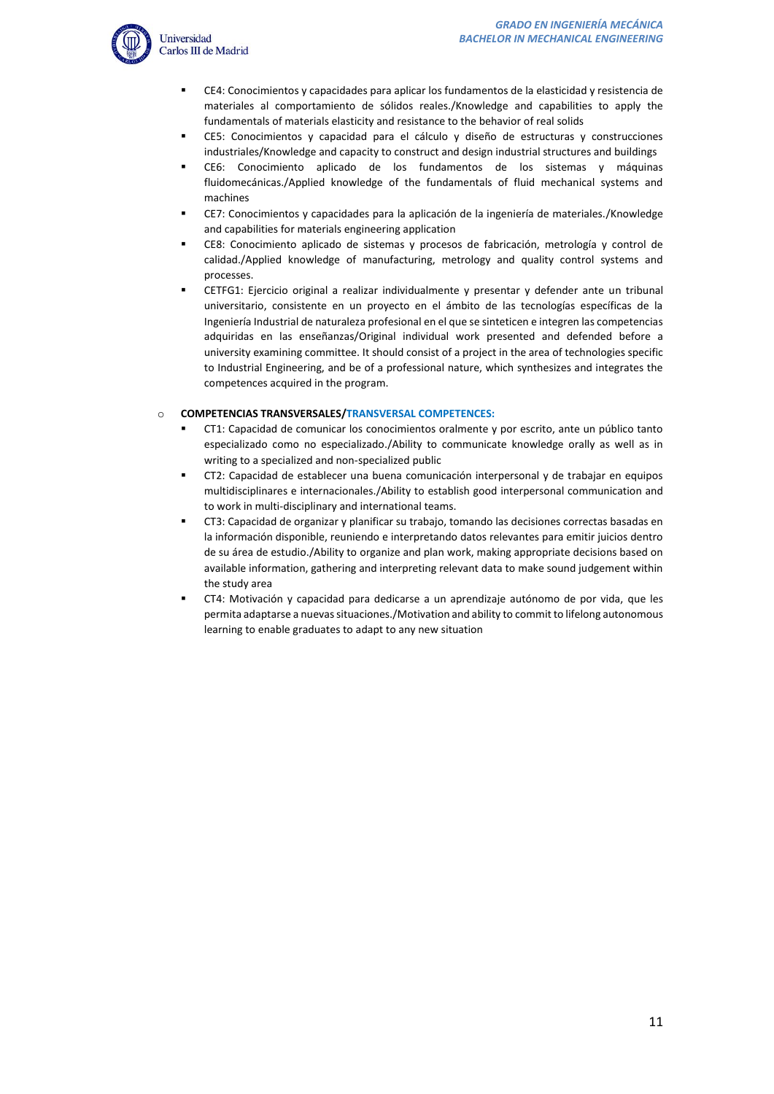

- CE4: Conocimientos y capacidades para aplicar los fundamentos de la elasticidad y resistencia de materiales al comportamiento de sólidos reales./Knowledge and capabilities to apply the fundamentals of materials elasticity and resistance to the behavior of real solids
- CE5: Conocimientos y capacidad para el cálculo y diseño de estructuras y construcciones industriales/Knowledge and capacity to construct and design industrial structures and buildings
- CE6: Conocimiento aplicado de los fundamentos de los sistemas y máquinas fluidomecánicas./Applied knowledge of the fundamentals of fluid mechanical systems and machines
- CE7: Conocimientos y capacidades para la aplicación de la ingeniería de materiales./Knowledge and capabilities for materials engineering application
- CE8: Conocimiento aplicado de sistemas y procesos de fabricación, metrología y control de calidad./Applied knowledge of manufacturing, metrology and quality control systems and processes.
- CETFG1: Ejercicio original a realizar individualmente y presentar y defender ante un tribunal universitario, consistente en un proyecto en el ámbito de las tecnologías específicas de la Ingeniería Industrial de naturaleza profesional en el que se sinteticen e integren las competencias adquiridas en las enseñanzas/Original individual work presented and defended before a university examining committee. It should consist of a project in the area of technologies specific to Industrial Engineering, and be of a professional nature, which synthesizes and integrates the competences acquired in the program.

# o **COMPETENCIAS TRANSVERSALES/TRANSVERSAL COMPETENCES:**

- CT1: Capacidad de comunicar los conocimientos oralmente y por escrito, ante un público tanto especializado como no especializado./Ability to communicate knowledge orally as well as in writing to a specialized and non-specialized public
- CT2: Capacidad de establecer una buena comunicación interpersonal y de trabajar en equipos multidisciplinares e internacionales./Ability to establish good interpersonal communication and to work in multi-disciplinary and international teams.
- CT3: Capacidad de organizar y planificar su trabajo, tomando las decisiones correctas basadas en la información disponible, reuniendo e interpretando datos relevantes para emitir juicios dentro de su área de estudio./Ability to organize and plan work, making appropriate decisions based on available information, gathering and interpreting relevant data to make sound judgement within the study area
- CT4: Motivación y capacidad para dedicarse a un aprendizaje autónomo de por vida, que les permita adaptarse a nuevas situaciones./Motivation and ability to commit to lifelong autonomous learning to enable graduates to adapt to any new situation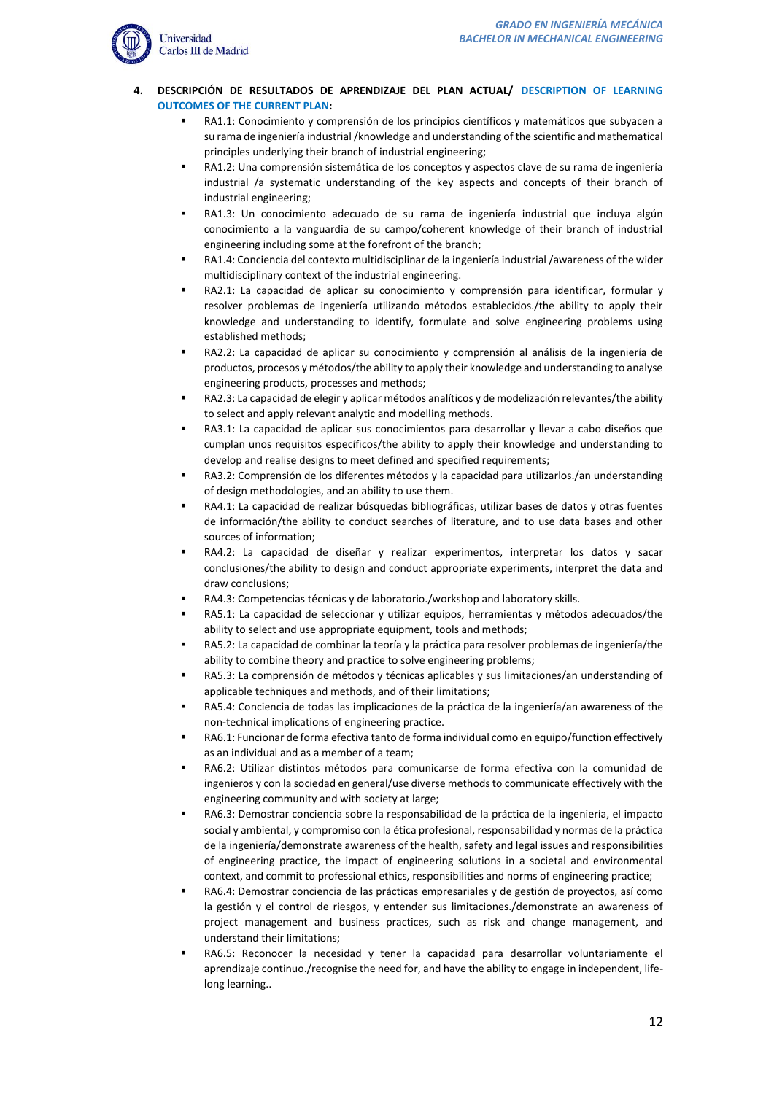

## **4. DESCRIPCIÓN DE RESULTADOS DE APRENDIZAJE DEL PLAN ACTUAL/ DESCRIPTION OF LEARNING OUTCOMES OF THE CURRENT PLAN:**

- RA1.1: Conocimiento y comprensión de los principios científicos y matemáticos que subyacen a su rama de ingeniería industrial /knowledge and understanding of the scientific and mathematical principles underlying their branch of industrial engineering;
- RA1.2: Una comprensión sistemática de los conceptos y aspectos clave de su rama de ingeniería industrial /a systematic understanding of the key aspects and concepts of their branch of industrial engineering;
- RA1.3: Un conocimiento adecuado de su rama de ingeniería industrial que incluya algún conocimiento a la vanguardia de su campo/coherent knowledge of their branch of industrial engineering including some at the forefront of the branch;
- RA1.4: Conciencia del contexto multidisciplinar de la ingeniería industrial /awareness of the wider multidisciplinary context of the industrial engineering.
- RA2.1: La capacidad de aplicar su conocimiento y comprensión para identificar, formular y resolver problemas de ingeniería utilizando métodos establecidos./the ability to apply their knowledge and understanding to identify, formulate and solve engineering problems using established methods;
- RA2.2: La capacidad de aplicar su conocimiento y comprensión al análisis de la ingeniería de productos, procesos y métodos/the ability to apply their knowledge and understanding to analyse engineering products, processes and methods;
- RA2.3: La capacidad de elegir y aplicar métodos analíticos y de modelización relevantes/the ability to select and apply relevant analytic and modelling methods.
- RA3.1: La capacidad de aplicar sus conocimientos para desarrollar y llevar a cabo diseños que cumplan unos requisitos específicos/the ability to apply their knowledge and understanding to develop and realise designs to meet defined and specified requirements;
- RA3.2: Comprensión de los diferentes métodos y la capacidad para utilizarlos./an understanding of design methodologies, and an ability to use them.
- RA4.1: La capacidad de realizar búsquedas bibliográficas, utilizar bases de datos y otras fuentes de información/the ability to conduct searches of literature, and to use data bases and other sources of information;
- RA4.2: La capacidad de diseñar y realizar experimentos, interpretar los datos y sacar conclusiones/the ability to design and conduct appropriate experiments, interpret the data and draw conclusions;
- RA4.3: Competencias técnicas y de laboratorio./workshop and laboratory skills.
- RA5.1: La capacidad de seleccionar y utilizar equipos, herramientas y métodos adecuados/the ability to select and use appropriate equipment, tools and methods;
- RA5.2: La capacidad de combinar la teoría y la práctica para resolver problemas de ingeniería/the ability to combine theory and practice to solve engineering problems;
- RA5.3: La comprensión de métodos y técnicas aplicables y sus limitaciones/an understanding of applicable techniques and methods, and of their limitations;
- RA5.4: Conciencia de todas las implicaciones de la práctica de la ingeniería/an awareness of the non-technical implications of engineering practice.
- RA6.1: Funcionar de forma efectiva tanto de forma individual como en equipo/function effectively as an individual and as a member of a team;
- RA6.2: Utilizar distintos métodos para comunicarse de forma efectiva con la comunidad de ingenieros y con la sociedad en general/use diverse methods to communicate effectively with the engineering community and with society at large;
- RA6.3: Demostrar conciencia sobre la responsabilidad de la práctica de la ingeniería, el impacto social y ambiental, y compromiso con la ética profesional, responsabilidad y normas de la práctica de la ingeniería/demonstrate awareness of the health, safety and legal issues and responsibilities of engineering practice, the impact of engineering solutions in a societal and environmental context, and commit to professional ethics, responsibilities and norms of engineering practice;
- RA6.4: Demostrar conciencia de las prácticas empresariales y de gestión de proyectos, así como la gestión y el control de riesgos, y entender sus limitaciones./demonstrate an awareness of project management and business practices, such as risk and change management, and understand their limitations;
- RA6.5: Reconocer la necesidad y tener la capacidad para desarrollar voluntariamente el aprendizaje continuo./recognise the need for, and have the ability to engage in independent, lifelong learning..